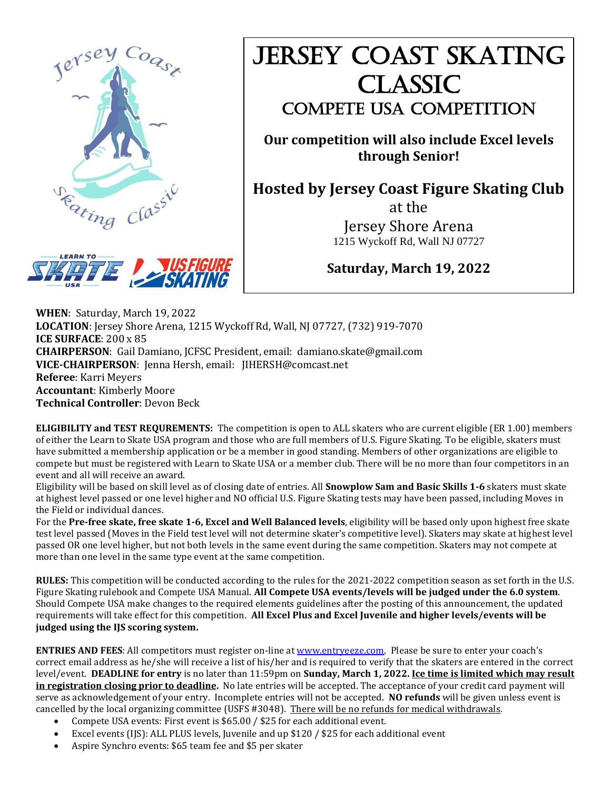

# JERSEY COAST SKATING Classic COMPETE USA COMPETITION

**Our competition will also include Excel levels through Senior!**

**Hosted by Jersey Coast Figure Skating Club**

at the Jersey Shore Arena 1215 Wyckoff Rd, Wall NJ 07727



# **Saturday, March 19, 2022**

**WHEN**: Saturday, March 19, 2022 **LOCATION**: Jersey Shore Arena, 1215 Wyckoff Rd, Wall, NJ 07727, (732) 919-7070 **ICE SURFACE**: 200 x 85 **CHAIRPERSON**: Gail Damiano, JCFSC President, email: damiano.skate@gmail.com **VICE-CHAIRPERSON**: Jenna Hersh, email: [JIHERSH@comcast.net](mailto:JIHERSH@comcast.net) **Referee**: Karri Meyers **Accountant**: Kimberly Moore **Technical Controller**: Devon Beck

**ELIGIBILITY and TEST REQUREMENTS:** The competition is open to ALL skaters who are current eligible (ER 1.00) members of either the Learn to Skate USA program and those who are full members of U.S. Figure Skating. To be eligible, skaters must have submitted a membership application or be a member in good standing. Members of other organizations are eligible to compete but must be registered with Learn to Skate USA or a member club. There will be no more than four competitors in an event and all will receive an award.

Eligibility will be based on skill level as of closing date of entries. All **Snowplow Sam and Basic Skills 1-6** skaters must skate at highest level passed or one level higher and NO official U.S. Figure Skating tests may have been passed, including Moves in the Field or individual dances.

For the **Pre-free skate, free skate 1-6, Excel and Well Balanced levels**, eligibility will be based only upon highest free skate test level passed (Moves in the Field test level will not determine skater's competitive level). Skaters may skate at highest level passed OR one level higher, but not both levels in the same event during the same competition. Skaters may not compete at more than one level in the same type event at the same competition.

**RULES:** This competition will be conducted according to the rules for the 2021-2022 competition season as set forth in the U.S. Figure Skating rulebook and Compete USA Manual. **All Compete USA events/levels will be judged under the 6.0 system**. Should Compete USA make changes to the required elements guidelines after the posting of this announcement, the updated requirements will take effect for this competition. **All Excel Plus and Excel Juvenile and higher levels/events will be judged using the IJS scoring system.**

**ENTRIES AND FEES**: All competitors must register on-line at [www.entryeeze.com](http://www.entryeeze.com/). Please be sure to enter your coach's correct email address as he/she will receive a list of his/her and is required to verify that the skaters are entered in the correct level/event. **DEADLINE for entry** is no later than 11:59pm on **Sunday, March 1, 2022. Ice time is limited which may result**  in registration closing prior to deadline. No late entries will be accepted. The acceptance of your credit card payment will serve as acknowledgement of your entry. Incomplete entries will not be accepted. **NO refunds** will be given unless event is cancelled by the local organizing committee (USFS #3048). There will be no refunds for medical withdrawals.

- Compete USA events: First event is \$65.00 / \$25 for each additional event.
- Excel events (IJS): ALL PLUS levels, Juvenile and up \$120 / \$25 for each additional event
- Aspire Synchro events: \$65 team fee and \$5 per skater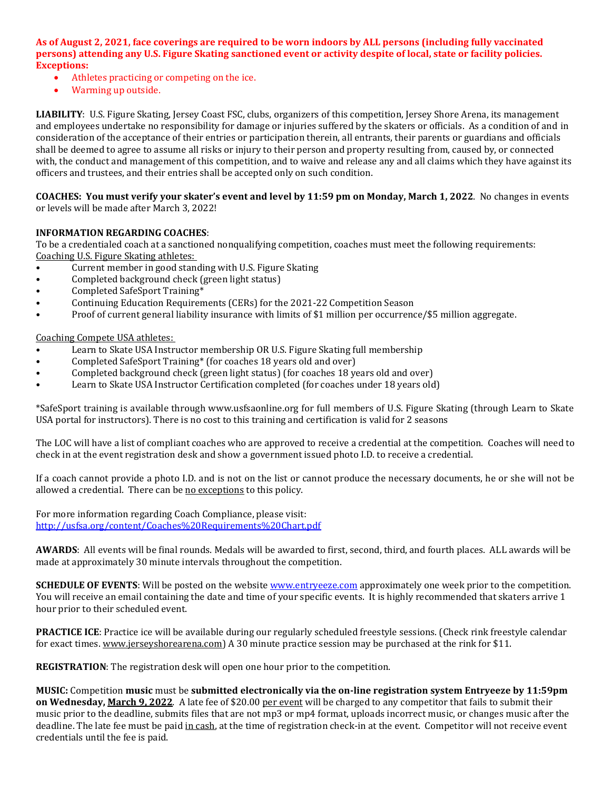**As of August 2, 2021, face coverings are required to be worn indoors by ALL persons (including fully vaccinated persons) attending any U.S. Figure Skating sanctioned event or activity despite of local, state or facility policies. Exceptions:** 

- Athletes practicing or competing on the ice.
- Warming up outside.

**LIABILITY**: U.S. Figure Skating, Jersey Coast FSC, clubs, organizers of this competition, Jersey Shore Arena, its management and employees undertake no responsibility for damage or injuries suffered by the skaters or officials. As a condition of and in consideration of the acceptance of their entries or participation therein, all entrants, their parents or guardians and officials shall be deemed to agree to assume all risks or injury to their person and property resulting from, caused by, or connected with, the conduct and management of this competition, and to waive and release any and all claims which they have against its officers and trustees, and their entries shall be accepted only on such condition.

**COACHES: You must verify your skater's event and level by 11:59 pm on Monday, March 1, 2022**. No changes in events or levels will be made after March 3, 2022!

#### **INFORMATION REGARDING COACHES**:

To be a credentialed coach at a sanctioned nonqualifying competition, coaches must meet the following requirements: Coaching U.S. Figure Skating athletes:

- Current member in good standing with U.S. Figure Skating
- Completed background check (green light status)
- Completed SafeSport Training\*
- Continuing Education Requirements (CERs) for the 2021-22 Competition Season
- Proof of current general liability insurance with limits of \$1 million per occurrence/\$5 million aggregate.

#### Coaching Compete USA athletes:

- Learn to Skate USA Instructor membership OR U.S. Figure Skating full membership
- Completed SafeSport Training\* (for coaches 18 years old and over)
- Completed background check (green light status) (for coaches 18 years old and over)
- Learn to Skate USA Instructor Certification completed (for coaches under 18 years old)

\*SafeSport training is available through www.usfsaonline.org for full members of U.S. Figure Skating (through Learn to Skate USA portal for instructors). There is no cost to this training and certification is valid for 2 seasons

The LOC will have a list of compliant coaches who are approved to receive a credential at the competition. Coaches will need to check in at the event registration desk and show a government issued photo I.D. to receive a credential.

If a coach cannot provide a photo I.D. and is not on the list or cannot produce the necessary documents, he or she will not be allowed a credential. There can be no exceptions to this policy.

For more information regarding Coach Compliance, please visit: <http://usfsa.org/content/Coaches%20Requirements%20Chart.pdf>

**AWARDS**: All events will be final rounds. Medals will be awarded to first, second, third, and fourth places. ALL awards will be made at approximately 30 minute intervals throughout the competition.

**SCHEDULE OF EVENTS:** Will be posted on the website [www.entryeeze.com](http://www.entryeeze.com/) approximately one week prior to the competition. You will receive an email containing the date and time of your specific events. It is highly recommended that skaters arrive 1 hour prior to their scheduled event.

**PRACTICE ICE**: Practice ice will be available during our regularly scheduled freestyle sessions. (Check rink freestyle calendar for exact times. www.jerseyshorearena.com) A 30 minute practice session may be purchased at the rink for \$11.

**REGISTRATION**: The registration desk will open one hour prior to the competition.

**MUSIC:** Competition **music** must be **submitted electronically via the on-line registration system Entryeeze by 11:59pm on Wednesday, March 9, 2022**. A late fee of \$20.00 per event will be charged to any competitor that fails to submit their music prior to the deadline, submits files that are not mp3 or mp4 format, uploads incorrect music, or changes music after the deadline. The late fee must be paid in cash, at the time of registration check-in at the event. Competitor will not receive event credentials until the fee is paid.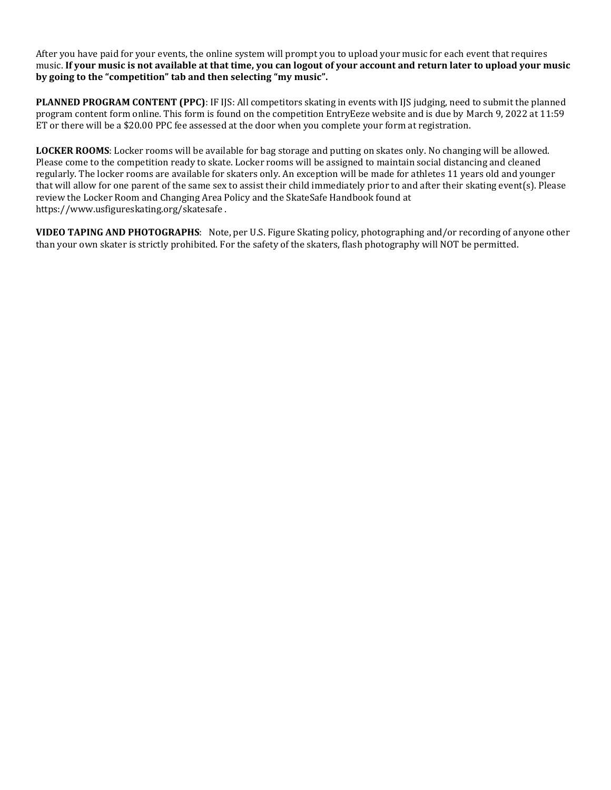After you have paid for your events, the online system will prompt you to upload your music for each event that requires music. **If your music is not available at that time, you can logout of your account and return later to upload your music by going to the "competition" tab and then selecting "my music".**

**PLANNED PROGRAM CONTENT (PPC)**: IF IJS: All competitors skating in events with IJS judging, need to submit the planned program content form online. This form is found on the competition EntryEeze website and is due by March 9, 2022 at 11:59 ET or there will be a \$20.00 PPC fee assessed at the door when you complete your form at registration.

**LOCKER ROOMS**: Locker rooms will be available for bag storage and putting on skates only. No changing will be allowed. Please come to the competition ready to skate. Locker rooms will be assigned to maintain social distancing and cleaned regularly. The locker rooms are available for skaters only. An exception will be made for athletes 11 years old and younger that will allow for one parent of the same sex to assist their child immediately prior to and after their skating event(s). Please review the Locker Room and Changing Area Policy and the SkateSafe Handbook found at https://www.usfigureskating.org/skatesafe .

**VIDEO TAPING AND PHOTOGRAPHS**: Note, per U.S. Figure Skating policy, photographing and/or recording of anyone other than your own skater is strictly prohibited. For the safety of the skaters, flash photography will NOT be permitted.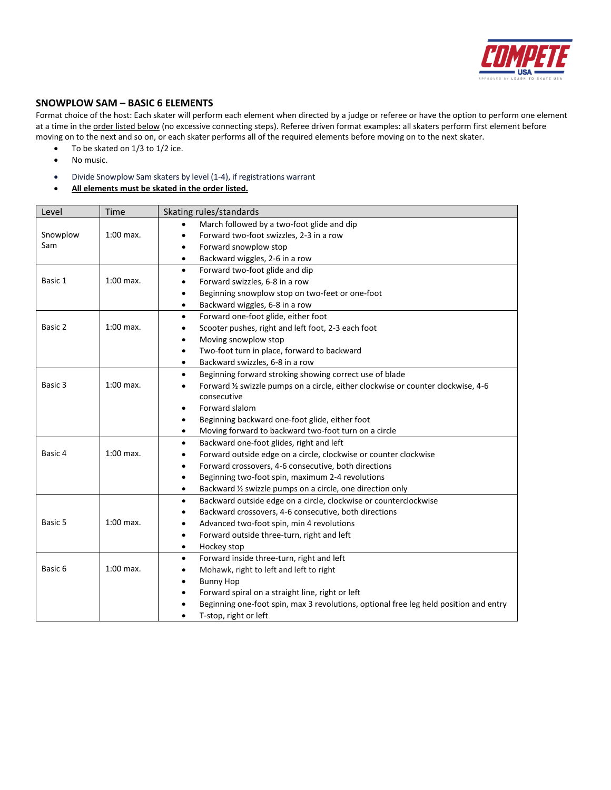

#### **SNOWPLOW SAM – BASIC 6 ELEMENTS**

Format choice of the host: Each skater will perform each element when directed by a judge or referee or have the option to perform one element at a time in the order listed below (no excessive connecting steps). Referee driven format examples: all skaters perform first element before moving on to the next and so on, or each skater performs all of the required elements before moving on to the next skater.

- To be skated on 1/3 to 1/2 ice.
- No music.
- Divide Snowplow Sam skaters by level (1-4), if registrations warrant
- **All elements must be skated in the order listed.**

| Level    | Time        | Skating rules/standards                                                                            |
|----------|-------------|----------------------------------------------------------------------------------------------------|
|          |             | March followed by a two-foot glide and dip                                                         |
| Snowplow | $1:00$ max. | Forward two-foot swizzles, 2-3 in a row<br>$\bullet$                                               |
| Sam      |             | Forward snowplow stop<br>$\bullet$                                                                 |
|          |             | Backward wiggles, 2-6 in a row<br>$\bullet$                                                        |
|          |             | Forward two-foot glide and dip<br>$\bullet$                                                        |
| Basic 1  | $1:00$ max. | Forward swizzles, 6-8 in a row<br>$\bullet$                                                        |
|          |             | Beginning snowplow stop on two-feet or one-foot<br>$\bullet$                                       |
|          |             | Backward wiggles, 6-8 in a row<br>$\bullet$                                                        |
|          |             | Forward one-foot glide, either foot<br>$\bullet$                                                   |
| Basic 2  | $1:00$ max. | Scooter pushes, right and left foot, 2-3 each foot<br>$\bullet$                                    |
|          |             | Moving snowplow stop<br>$\bullet$                                                                  |
|          |             | Two-foot turn in place, forward to backward<br>$\bullet$                                           |
|          |             | Backward swizzles, 6-8 in a row<br>$\bullet$                                                       |
|          |             | Beginning forward stroking showing correct use of blade<br>$\bullet$                               |
| Basic 3  | $1:00$ max. | Forward 1/2 swizzle pumps on a circle, either clockwise or counter clockwise, 4-6<br>$\bullet$     |
|          |             | consecutive                                                                                        |
|          |             | Forward slalom<br>$\bullet$                                                                        |
|          |             | Beginning backward one-foot glide, either foot<br>$\bullet$                                        |
|          |             | Moving forward to backward two-foot turn on a circle<br>$\bullet$                                  |
|          |             | Backward one-foot glides, right and left<br>$\bullet$                                              |
| Basic 4  | $1:00$ max. | Forward outside edge on a circle, clockwise or counter clockwise<br>$\bullet$                      |
|          |             | Forward crossovers, 4-6 consecutive, both directions<br>$\bullet$                                  |
|          |             | Beginning two-foot spin, maximum 2-4 revolutions<br>٠                                              |
|          |             | Backward 1/2 swizzle pumps on a circle, one direction only<br>$\bullet$                            |
|          |             | Backward outside edge on a circle, clockwise or counterclockwise<br>$\bullet$                      |
|          |             | Backward crossovers, 4-6 consecutive, both directions<br>$\bullet$                                 |
| Basic 5  | $1:00$ max. | Advanced two-foot spin, min 4 revolutions<br>$\bullet$                                             |
|          |             | Forward outside three-turn, right and left<br>$\bullet$                                            |
|          |             | Hockey stop<br>$\bullet$                                                                           |
|          |             | Forward inside three-turn, right and left<br>$\bullet$                                             |
| Basic 6  | $1:00$ max. | Mohawk, right to left and left to right<br>$\bullet$                                               |
|          |             | <b>Bunny Hop</b><br>$\bullet$                                                                      |
|          |             | Forward spiral on a straight line, right or left<br>$\bullet$                                      |
|          |             | Beginning one-foot spin, max 3 revolutions, optional free leg held position and entry<br>$\bullet$ |
|          |             | T-stop, right or left                                                                              |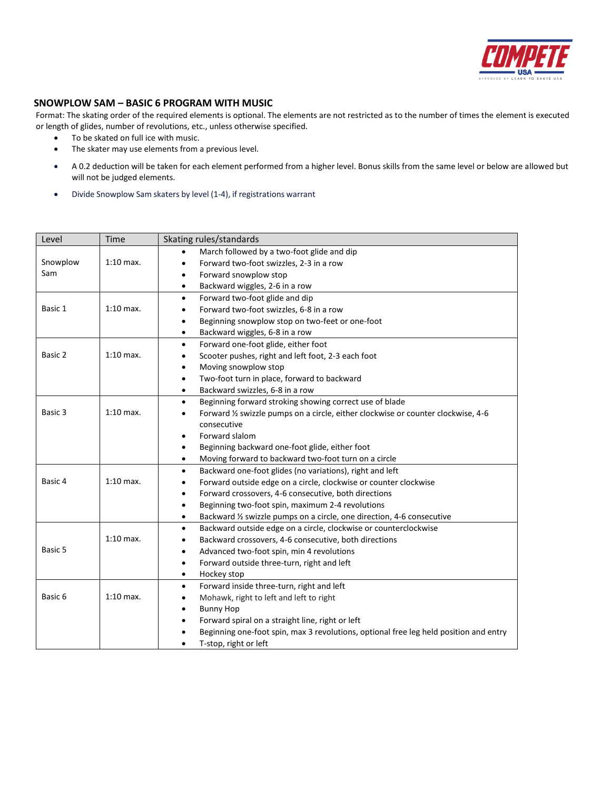

#### **SNOWPLOW SAM – BASIC 6 PROGRAM WITH MUSIC**

Format: The skating order of the required elements is optional. The elements are not restricted as to the number of times the element is executed or length of glides, number of revolutions, etc., unless otherwise specified.

- To be skated on full ice with music.
- The skater may use elements from a previous level.
- A 0.2 deduction will be taken for each element performed from a higher level. Bonus skills from the same level or below are allowed but will not be judged elements.
- Divide Snowplow Sam skaters by level (1-4), if registrations warrant

| Level    | Time        | Skating rules/standards                                                                            |
|----------|-------------|----------------------------------------------------------------------------------------------------|
|          |             | March followed by a two-foot glide and dip                                                         |
| Snowplow | $1:10$ max. | Forward two-foot swizzles, 2-3 in a row<br>$\bullet$                                               |
| Sam      |             | Forward snowplow stop<br>$\bullet$                                                                 |
|          |             | Backward wiggles, 2-6 in a row<br>$\bullet$                                                        |
|          |             | Forward two-foot glide and dip<br>$\bullet$                                                        |
| Basic 1  | $1:10$ max. | Forward two-foot swizzles, 6-8 in a row<br>$\bullet$                                               |
|          |             | Beginning snowplow stop on two-feet or one-foot<br>$\bullet$                                       |
|          |             | Backward wiggles, 6-8 in a row<br>$\bullet$                                                        |
|          |             | Forward one-foot glide, either foot<br>$\bullet$                                                   |
| Basic 2  | $1:10$ max. | Scooter pushes, right and left foot, 2-3 each foot<br>$\bullet$                                    |
|          |             | Moving snowplow stop<br>$\bullet$                                                                  |
|          |             | Two-foot turn in place, forward to backward<br>$\bullet$                                           |
|          |             | Backward swizzles, 6-8 in a row<br>$\bullet$                                                       |
|          |             | Beginning forward stroking showing correct use of blade<br>$\bullet$                               |
| Basic 3  | $1:10$ max. | Forward 1/2 swizzle pumps on a circle, either clockwise or counter clockwise, 4-6<br>$\bullet$     |
|          |             | consecutive                                                                                        |
|          |             | Forward slalom<br>$\bullet$                                                                        |
|          |             | Beginning backward one-foot glide, either foot<br>$\bullet$                                        |
|          |             | Moving forward to backward two-foot turn on a circle<br>$\bullet$                                  |
|          |             | Backward one-foot glides (no variations), right and left<br>$\bullet$                              |
| Basic 4  | $1:10$ max. | Forward outside edge on a circle, clockwise or counter clockwise<br>$\bullet$                      |
|          |             | Forward crossovers, 4-6 consecutive, both directions<br>$\bullet$                                  |
|          |             | Beginning two-foot spin, maximum 2-4 revolutions<br>$\bullet$                                      |
|          |             | Backward 1/2 swizzle pumps on a circle, one direction, 4-6 consecutive<br>$\bullet$                |
|          |             | Backward outside edge on a circle, clockwise or counterclockwise<br>$\bullet$                      |
|          | $1:10$ max. | Backward crossovers, 4-6 consecutive, both directions<br>$\bullet$                                 |
| Basic 5  |             | Advanced two-foot spin, min 4 revolutions<br>$\bullet$                                             |
|          |             | Forward outside three-turn, right and left<br>$\bullet$                                            |
|          |             | Hockey stop<br>$\bullet$                                                                           |
|          |             | Forward inside three-turn, right and left<br>$\bullet$                                             |
| Basic 6  | $1:10$ max. | Mohawk, right to left and left to right<br>$\bullet$                                               |
|          |             | <b>Bunny Hop</b><br>$\bullet$                                                                      |
|          |             | Forward spiral on a straight line, right or left<br>$\bullet$                                      |
|          |             | Beginning one-foot spin, max 3 revolutions, optional free leg held position and entry<br>$\bullet$ |
|          |             | T-stop, right or left                                                                              |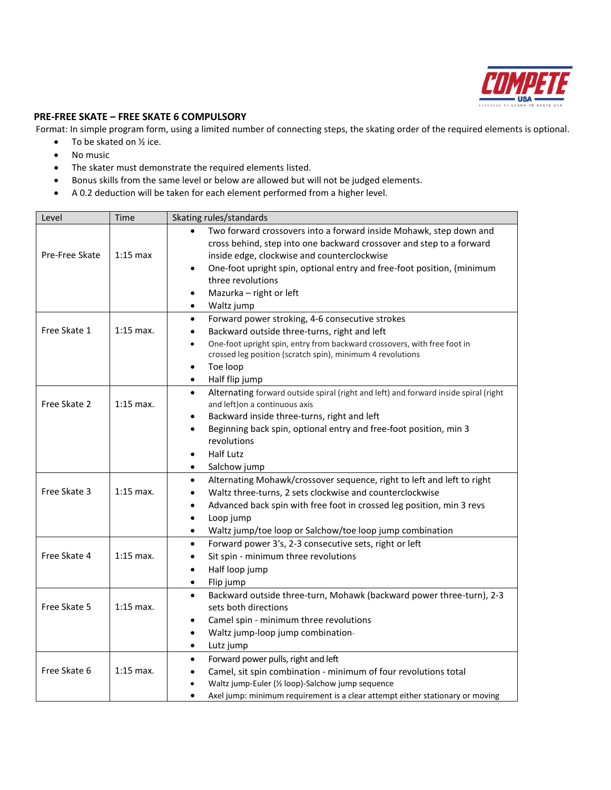

#### **PRE-FREE SKATE – FREE SKATE 6 COMPULSORY**

Format: In simple program form, using a limited number of connecting steps, the skating order of the required elements is optional.

- $\bullet$  To be skated on  $\frac{1}{2}$  ice.
- No music
- The skater must demonstrate the required elements listed.
- Bonus skills from the same level or below are allowed but will not be judged elements.
- A 0.2 deduction will be taken for each element performed from a higher level.

| Level          | Time        | Skating rules/standards                                                                                                                                                                                                                                                                                                 |
|----------------|-------------|-------------------------------------------------------------------------------------------------------------------------------------------------------------------------------------------------------------------------------------------------------------------------------------------------------------------------|
| Pre-Free Skate | $1:15$ max  | Two forward crossovers into a forward inside Mohawk, step down and<br>$\bullet$<br>cross behind, step into one backward crossover and step to a forward<br>inside edge, clockwise and counterclockwise<br>One-foot upright spin, optional entry and free-foot position, (minimum<br>٠<br>three revolutions              |
|                |             | Mazurka - right or left<br>Waltz jump<br>$\bullet$                                                                                                                                                                                                                                                                      |
| Free Skate 1   | $1:15$ max. | Forward power stroking, 4-6 consecutive strokes<br>$\bullet$<br>Backward outside three-turns, right and left<br>One-foot upright spin, entry from backward crossovers, with free foot in<br>$\bullet$<br>crossed leg position (scratch spin), minimum 4 revolutions<br>Toe loop<br>٠<br>Half flip jump                  |
| Free Skate 2   | $1:15$ max. | Alternating forward outside spiral (right and left) and forward inside spiral (right<br>$\bullet$<br>and left) on a continuous axis<br>Backward inside three-turns, right and left<br>Beginning back spin, optional entry and free-foot position, min 3<br>$\bullet$<br>revolutions<br><b>Half Lutz</b><br>Salchow jump |
| Free Skate 3   | $1:15$ max. | Alternating Mohawk/crossover sequence, right to left and left to right<br>$\bullet$<br>Waltz three-turns, 2 sets clockwise and counterclockwise<br>Advanced back spin with free foot in crossed leg position, min 3 revs<br>Loop jump<br>Waltz jump/toe loop or Salchow/toe loop jump combination                       |
| Free Skate 4   | $1:15$ max. | Forward power 3's, 2-3 consecutive sets, right or left<br>$\bullet$<br>Sit spin - minimum three revolutions<br>Half loop jump<br>$\bullet$<br>Flip jump<br>$\bullet$                                                                                                                                                    |
| Free Skate 5   | $1:15$ max. | Backward outside three-turn, Mohawk (backward power three-turn), 2-3<br>$\bullet$<br>sets both directions<br>Camel spin - minimum three revolutions<br>$\bullet$<br>Waltz jump-loop jump combination-<br>$\bullet$<br>Lutz jump<br>٠                                                                                    |
| Free Skate 6   | $1:15$ max. | Forward power pulls, right and left<br>٠<br>Camel, sit spin combination - minimum of four revolutions total<br>Waltz jump-Euler (1/2 loop)-Salchow jump sequence<br>Axel jump: minimum requirement is a clear attempt either stationary or moving                                                                       |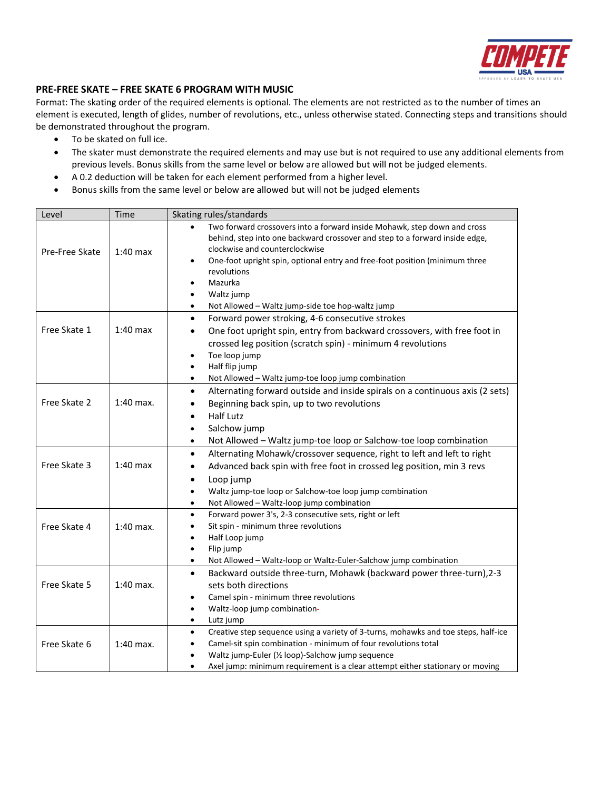

#### **PRE-FREE SKATE – FREE SKATE 6 PROGRAM WITH MUSIC**

Format: The skating order of the required elements is optional. The elements are not restricted as to the number of times an element is executed, length of glides, number of revolutions, etc., unless otherwise stated. Connecting steps and transitions should be demonstrated throughout the program.

- To be skated on full ice.
- The skater must demonstrate the required elements and may use but is not required to use any additional elements from previous levels. Bonus skills from the same level or below are allowed but will not be judged elements.
- A 0.2 deduction will be taken for each element performed from a higher level.
- Bonus skills from the same level or below are allowed but will not be judged elements

| Level          | Time        | Skating rules/standards                                                                                                                                                                                                                                                                                         |
|----------------|-------------|-----------------------------------------------------------------------------------------------------------------------------------------------------------------------------------------------------------------------------------------------------------------------------------------------------------------|
| Pre-Free Skate | $1:40$ max  | Two forward crossovers into a forward inside Mohawk, step down and cross<br>behind, step into one backward crossover and step to a forward inside edge,<br>clockwise and counterclockwise<br>One-foot upright spin, optional entry and free-foot position (minimum three<br>$\bullet$<br>revolutions<br>Mazurka |
|                |             | Waltz jump                                                                                                                                                                                                                                                                                                      |
|                |             | Not Allowed - Waltz jump-side toe hop-waltz jump                                                                                                                                                                                                                                                                |
| Free Skate 1   | $1:40$ max  | Forward power stroking, 4-6 consecutive strokes<br>$\bullet$<br>One foot upright spin, entry from backward crossovers, with free foot in<br>$\bullet$<br>crossed leg position (scratch spin) - minimum 4 revolutions<br>Toe loop jump                                                                           |
|                |             | Half flip jump<br>$\bullet$                                                                                                                                                                                                                                                                                     |
|                |             | Not Allowed - Waltz jump-toe loop jump combination<br>$\bullet$                                                                                                                                                                                                                                                 |
| Free Skate 2   | $1:40$ max. | Alternating forward outside and inside spirals on a continuous axis (2 sets)<br>$\bullet$<br>Beginning back spin, up to two revolutions<br>$\bullet$<br><b>Half Lutz</b><br>$\bullet$                                                                                                                           |
|                |             | Salchow jump<br>$\bullet$                                                                                                                                                                                                                                                                                       |
|                |             | Not Allowed - Waltz jump-toe loop or Salchow-toe loop combination<br>$\bullet$                                                                                                                                                                                                                                  |
| Free Skate 3   | $1:40$ max  | Alternating Mohawk/crossover sequence, right to left and left to right<br>$\bullet$<br>Advanced back spin with free foot in crossed leg position, min 3 revs<br>$\bullet$<br>Loop jump<br>٠                                                                                                                     |
|                |             | Waltz jump-toe loop or Salchow-toe loop jump combination<br>$\bullet$<br>Not Allowed - Waltz-loop jump combination<br>$\bullet$                                                                                                                                                                                 |
| Free Skate 4   | $1:40$ max. | Forward power 3's, 2-3 consecutive sets, right or left<br>$\bullet$<br>Sit spin - minimum three revolutions<br>$\bullet$<br>Half Loop jump<br>Flip jump<br>٠                                                                                                                                                    |
|                |             | Not Allowed - Waltz-loop or Waltz-Euler-Salchow jump combination                                                                                                                                                                                                                                                |
| Free Skate 5   | $1:40$ max. | Backward outside three-turn, Mohawk (backward power three-turn), 2-3<br>$\bullet$<br>sets both directions<br>Camel spin - minimum three revolutions<br>Waltz-loop jump combination-<br>$\bullet$<br>Lutz jump<br>$\bullet$                                                                                      |
| Free Skate 6   | $1:40$ max. | Creative step sequence using a variety of 3-turns, mohawks and toe steps, half-ice<br>$\bullet$<br>Camel-sit spin combination - minimum of four revolutions total<br>Waltz jump-Euler (1/2 loop)-Salchow jump sequence<br>Axel jump: minimum requirement is a clear attempt either stationary or moving         |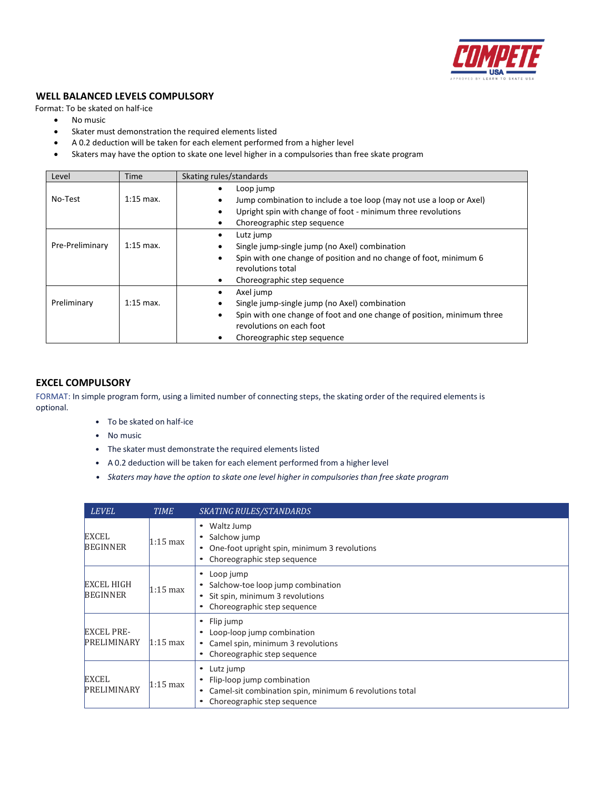

#### **WELL BALANCED LEVELS COMPULSORY**

Format: To be skated on half-ice

- No music
- Skater must demonstration the required elements listed
- A 0.2 deduction will be taken for each element performed from a higher level
- Skaters may have the option to skate one level higher in a compulsories than free skate program

| Level           | Time        | Skating rules/standards                                                                                                                                                                               |
|-----------------|-------------|-------------------------------------------------------------------------------------------------------------------------------------------------------------------------------------------------------|
| No-Test         | $1:15$ max. | Loop jump<br>Jump combination to include a toe loop (may not use a loop or Axel)<br>Upright spin with change of foot - minimum three revolutions<br>٠<br>Choreographic step sequence<br>٠             |
| Pre-Preliminary | $1:15$ max. | Lutz jump<br>٠<br>Single jump-single jump (no Axel) combination<br>Spin with one change of position and no change of foot, minimum 6<br>$\bullet$<br>revolutions total<br>Choreographic step sequence |
| Preliminary     | $1:15$ max. | Axel jump<br>٠<br>Single jump-single jump (no Axel) combination<br>Spin with one change of foot and one change of position, minimum three<br>revolutions on each foot<br>Choreographic step sequence  |

#### **EXCEL COMPULSORY**

FORMAT: In simple program form, using a limited number of connecting steps, the skating order of the required elements is optional.

- To be skated on half-ice
- No music
- The skater must demonstrate the required elements listed
- A 0.2 deduction will be taken for each element performed from a higher level
- *• Skaters may have the option to skate one level higher in compulsories than free skate program*

| <b>LEVEL</b>                            | <b>TIME</b>        | <b>SKATING RULES/STANDARDS</b>                                                                                                              |
|-----------------------------------------|--------------------|---------------------------------------------------------------------------------------------------------------------------------------------|
| <b>EXCEL</b><br><b>BEGINNER</b>         | $1:15 \text{ max}$ | Waltz Jump<br>٠<br>Salchow jump<br>One-foot upright spin, minimum 3 revolutions<br>٠<br>Choreographic step sequence                         |
| <b>EXCEL HIGH</b><br><b>BEGINNER</b>    | 1:15 max           | Loop jump<br>٠<br>Salchow-toe loop jump combination<br>Sit spin, minimum 3 revolutions<br>٠<br>Choreographic step sequence                  |
| <b>EXCEL PRE-</b><br><b>PRELIMINARY</b> | $1:15$ max         | Flip jump<br>٠<br>Loop-loop jump combination<br>Camel spin, minimum 3 revolutions<br>٠<br>Choreographic step sequence<br>٠                  |
| <b>EXCEL</b><br>PRELIMINARY             | 1:15 max           | Lutz jump<br>Flip-loop jump combination<br>Camel-sit combination spin, minimum 6 revolutions total<br>٠<br>Choreographic step sequence<br>٠ |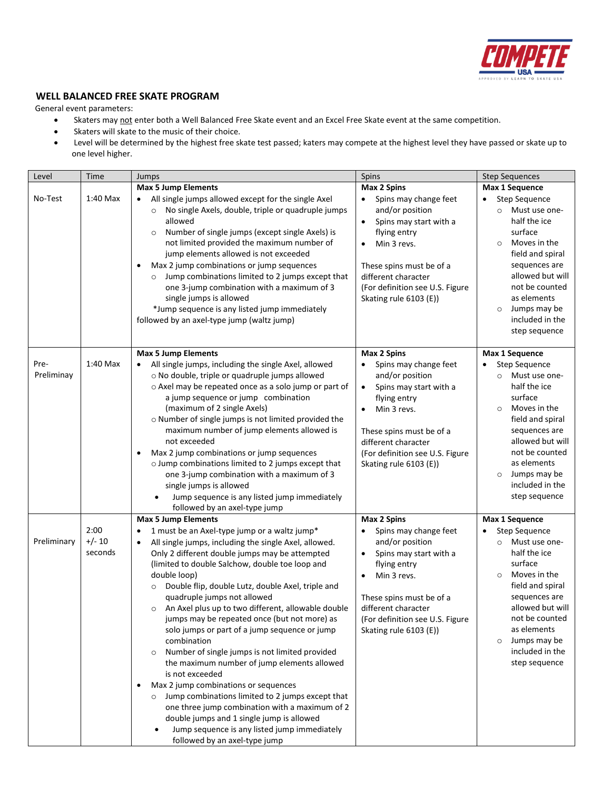

#### **WELL BALANCED FREE SKATE PROGRAM**

- Skaters may not enter both a Well Balanced Free Skate event and an Excel Free Skate event at the same competition.
- Skaters will skate to the music of their choice.
- Level will be determined by the highest free skate test passed; katers may compete at the highest level they have passed or skate up to one level higher.

| Level              | Time                        | Jumps                                                                                                                                                                                                                                                                                                                                                                                                                                                                                                                                                                                                                                                                                                                                                                                                                                                                                                                          | Spins                                                                                                                                                                                                                                                    | <b>Step Sequences</b>                                                                                                                                                                                                                                         |
|--------------------|-----------------------------|--------------------------------------------------------------------------------------------------------------------------------------------------------------------------------------------------------------------------------------------------------------------------------------------------------------------------------------------------------------------------------------------------------------------------------------------------------------------------------------------------------------------------------------------------------------------------------------------------------------------------------------------------------------------------------------------------------------------------------------------------------------------------------------------------------------------------------------------------------------------------------------------------------------------------------|----------------------------------------------------------------------------------------------------------------------------------------------------------------------------------------------------------------------------------------------------------|---------------------------------------------------------------------------------------------------------------------------------------------------------------------------------------------------------------------------------------------------------------|
|                    |                             | <b>Max 5 Jump Elements</b>                                                                                                                                                                                                                                                                                                                                                                                                                                                                                                                                                                                                                                                                                                                                                                                                                                                                                                     | Max 2 Spins                                                                                                                                                                                                                                              | Max 1 Sequence                                                                                                                                                                                                                                                |
| No-Test            | $1:40$ Max                  | All single jumps allowed except for the single Axel<br>No single Axels, double, triple or quadruple jumps<br>$\circ$<br>allowed<br>Number of single jumps (except single Axels) is<br>$\circ$<br>not limited provided the maximum number of<br>jump elements allowed is not exceeded<br>Max 2 jump combinations or jump sequences<br>٠<br>Jump combinations limited to 2 jumps except that<br>one 3-jump combination with a maximum of 3<br>single jumps is allowed<br>*Jump sequence is any listed jump immediately<br>followed by an axel-type jump (waltz jump)                                                                                                                                                                                                                                                                                                                                                             | Spins may change feet<br>and/or position<br>Spins may start with a<br>$\bullet$<br>flying entry<br>Min 3 revs.<br>$\bullet$<br>These spins must be of a<br>different character<br>(For definition see U.S. Figure<br>Skating rule 6103 (E))              | Step Sequence<br>Must use one-<br>$\circ$<br>half the ice<br>surface<br>Moves in the<br>$\circ$<br>field and spiral<br>sequences are<br>allowed but will<br>not be counted<br>as elements<br>Jumps may be<br>$\circ$<br>included in the<br>step sequence      |
|                    |                             | <b>Max 5 Jump Elements</b>                                                                                                                                                                                                                                                                                                                                                                                                                                                                                                                                                                                                                                                                                                                                                                                                                                                                                                     | Max 2 Spins                                                                                                                                                                                                                                              | Max 1 Sequence                                                                                                                                                                                                                                                |
| Pre-<br>Preliminay | 1:40 Max                    | All single jumps, including the single Axel, allowed<br>o No double, triple or quadruple jumps allowed<br>o Axel may be repeated once as a solo jump or part of<br>a jump sequence or jump combination<br>(maximum of 2 single Axels)<br>o Number of single jumps is not limited provided the<br>maximum number of jump elements allowed is<br>not exceeded<br>Max 2 jump combinations or jump sequences<br>٠<br>o Jump combinations limited to 2 jumps except that<br>one 3-jump combination with a maximum of 3<br>single jumps is allowed<br>Jump sequence is any listed jump immediately<br>followed by an axel-type jump                                                                                                                                                                                                                                                                                                  | Spins may change feet<br>$\bullet$<br>and/or position<br>Spins may start with a<br>$\bullet$<br>flying entry<br>Min 3 revs.<br>$\bullet$<br>These spins must be of a<br>different character<br>(For definition see U.S. Figure<br>Skating rule 6103 (E)) | Step Sequence<br>Must use one-<br>$\circ$<br>half the ice<br>surface<br>Moves in the<br>$\circ$<br>field and spiral<br>sequences are<br>allowed but will<br>not be counted<br>as elements<br>Jumps may be<br>$\circ$<br>included in the<br>step sequence      |
|                    |                             | <b>Max 5 Jump Elements</b>                                                                                                                                                                                                                                                                                                                                                                                                                                                                                                                                                                                                                                                                                                                                                                                                                                                                                                     | <b>Max 2 Spins</b>                                                                                                                                                                                                                                       | Max 1 Sequence                                                                                                                                                                                                                                                |
| Preliminary        | 2:00<br>$+/- 10$<br>seconds | 1 must be an Axel-type jump or a waltz jump*<br>All single jumps, including the single Axel, allowed.<br>$\bullet$<br>Only 2 different double jumps may be attempted<br>(limited to double Salchow, double toe loop and<br>double loop)<br>Double flip, double Lutz, double Axel, triple and<br>$\circ$<br>quadruple jumps not allowed<br>o An Axel plus up to two different, allowable double<br>jumps may be repeated once (but not more) as<br>solo jumps or part of a jump sequence or jump<br>combination<br>Number of single jumps is not limited provided<br>$\circ$<br>the maximum number of jump elements allowed<br>is not exceeded<br>Max 2 jump combinations or sequences<br>٠<br>Jump combinations limited to 2 jumps except that<br>one three jump combination with a maximum of 2<br>double jumps and 1 single jump is allowed<br>Jump sequence is any listed jump immediately<br>followed by an axel-type jump | Spins may change feet<br>and/or position<br>Spins may start with a<br>$\bullet$<br>flying entry<br>Min 3 revs.<br>$\bullet$<br>These spins must be of a<br>different character<br>(For definition see U.S. Figure<br>Skating rule 6103 (E))              | Step Sequence<br>٠<br>Must use one-<br>$\circ$<br>half the ice<br>surface<br>Moves in the<br>$\circ$<br>field and spiral<br>sequences are<br>allowed but will<br>not be counted<br>as elements<br>Jumps may be<br>$\circ$<br>included in the<br>step sequence |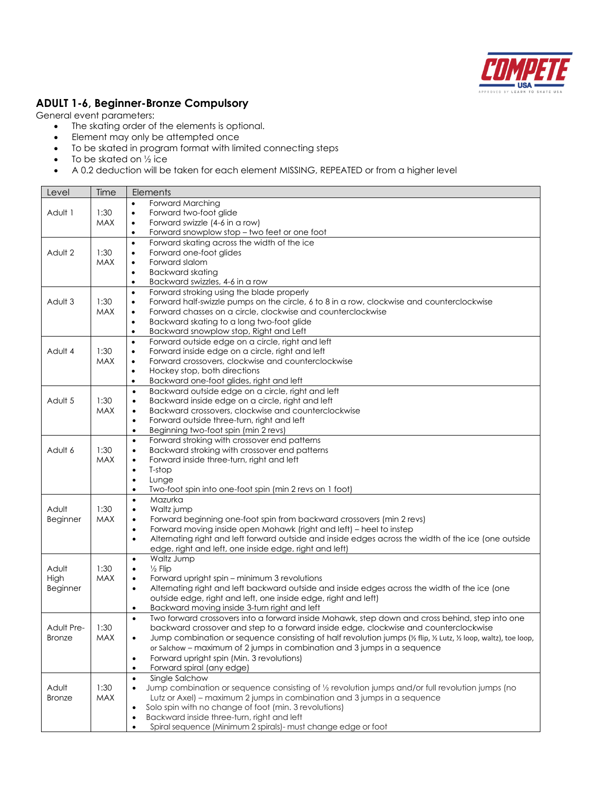

## **ADULT 1-6, Beginner-Bronze Compulsory**

- The skating order of the elements is optional.
- Element may only be attempted once
- To be skated in program format with limited connecting steps
- $\bullet$  To be skated on  $\frac{1}{2}$  ice
- A 0.2 deduction will be taken for each element MISSING, REPEATED or from a higher level

| Level           | Time       | Elements                                                                                                                                                         |
|-----------------|------------|------------------------------------------------------------------------------------------------------------------------------------------------------------------|
|                 |            | Forward Marching<br>$\bullet$                                                                                                                                    |
| Adult 1         | 1:30       | Forward two-foot glide<br>$\bullet$                                                                                                                              |
|                 | <b>MAX</b> | Forward swizzle (4-6 in a row)<br>$\bullet$                                                                                                                      |
|                 |            | Forward snowplow stop - two feet or one foot<br>$\bullet$                                                                                                        |
|                 |            | Forward skating across the width of the ice<br>$\bullet$                                                                                                         |
| Adult 2         | 1:30       | Forward one-foot glides<br>$\bullet$                                                                                                                             |
|                 | MAX        | Forward slalom<br>$\bullet$                                                                                                                                      |
|                 |            | <b>Backward skating</b>                                                                                                                                          |
|                 |            | Backward swizzles, 4-6 in a row<br>$\bullet$                                                                                                                     |
|                 |            | Forward stroking using the blade properly<br>$\bullet$                                                                                                           |
| Adult 3         | 1:30       | Forward half-swizzle pumps on the circle, 6 to 8 in a row, clockwise and counterclockwise<br>$\bullet$                                                           |
|                 | <b>MAX</b> | Forward chasses on a circle, clockwise and counterclockwise<br>$\bullet$                                                                                         |
|                 |            | Backward skating to a long two-foot glide<br>$\bullet$                                                                                                           |
|                 |            | Backward snowplow stop, Right and Left<br>$\bullet$                                                                                                              |
|                 |            | Forward outside edge on a circle, right and left<br>$\bullet$                                                                                                    |
| Adult 4         | 1:30       | Forward inside edge on a circle, right and left<br>$\bullet$                                                                                                     |
|                 | MAX        | Forward crossovers, clockwise and counterclockwise<br>$\bullet$                                                                                                  |
|                 |            | Hockey stop, both directions<br>$\bullet$                                                                                                                        |
|                 |            | Backward one-foot glides, right and left<br>$\bullet$                                                                                                            |
|                 | 1:30       | Backward outside edge on a circle, right and left<br>$\bullet$                                                                                                   |
| Adult 5         | <b>MAX</b> | Backward inside edge on a circle, right and left<br>$\bullet$<br>Backward crossovers, clockwise and counterclockwise<br>$\bullet$                                |
|                 |            | Forward outside three-turn, right and left<br>$\bullet$                                                                                                          |
|                 |            | Beginning two-foot spin (min 2 revs)<br>$\bullet$                                                                                                                |
|                 |            | Forward stroking with crossover end patterns<br>$\bullet$                                                                                                        |
| Adult 6         | 1:30       | Backward stroking with crossover end patterns<br>$\bullet$                                                                                                       |
|                 | <b>MAX</b> | Forward inside three-turn, right and left<br>$\bullet$                                                                                                           |
|                 |            | T-stop<br>$\bullet$                                                                                                                                              |
|                 |            | Lunge<br>$\bullet$                                                                                                                                               |
|                 |            | Two-foot spin into one-foot spin (min 2 revs on 1 foot)<br>$\bullet$                                                                                             |
|                 |            | Mazurka<br>$\bullet$                                                                                                                                             |
| Adult           | 1:30       | Waltz jump<br>$\bullet$                                                                                                                                          |
| <b>Beginner</b> | <b>MAX</b> | Forward beginning one-foot spin from backward crossovers (min 2 revs)<br>$\bullet$                                                                               |
|                 |            | Forward moving inside open Mohawk (right and left) – heel to instep<br>$\bullet$                                                                                 |
|                 |            | Alternating right and left forward outside and inside edges across the width of the ice (one outside<br>$\bullet$                                                |
|                 |            | edge, right and left, one inside edge, right and left)                                                                                                           |
|                 |            | Waltz Jump<br>$\bullet$                                                                                                                                          |
| Adult           | 1:30       | $\frac{1}{2}$ Flip<br>$\bullet$                                                                                                                                  |
| High            | <b>MAX</b> | Forward upright spin – minimum 3 revolutions                                                                                                                     |
| <b>Beginner</b> |            | Alternating right and left backward outside and inside edges across the width of the ice (one<br>$\bullet$                                                       |
|                 |            | outside edge, right and left, one inside edge, right and left)                                                                                                   |
|                 |            | Backward moving inside 3-turn right and left<br>٠<br>Two forward crossovers into a forward inside Mohawk, step down and cross behind, step into one<br>$\bullet$ |
| Adult Pre-      | 1:30       | backward crossover and step to a forward inside edge, clockwise and counterclockwise                                                                             |
| <b>Bronze</b>   | <b>MAX</b> | Jump combination or sequence consisting of half revolution jumps (1/2 flip, 1/2 Lutz, 1/2 loop, waltz), toe loop,                                                |
|                 |            | or Salchow - maximum of 2 jumps in combination and 3 jumps in a sequence                                                                                         |
|                 |            | Forward upright spin (Min. 3 revolutions)<br>$\bullet$                                                                                                           |
|                 |            | Forward spiral (any edge)<br>$\bullet$                                                                                                                           |
|                 |            | Single Salchow<br>$\bullet$                                                                                                                                      |
| Adult           | 1:30       | Jump combination or sequence consisting of 1/2 revolution jumps and/or full revolution jumps (no<br>$\bullet$                                                    |
| <b>Bronze</b>   | <b>MAX</b> | Lutz or Axel) - maximum 2 jumps in combination and 3 jumps in a sequence                                                                                         |
|                 |            | Solo spin with no change of foot (min. 3 revolutions)                                                                                                            |
|                 |            | Backward inside three-turn, right and left<br>$\bullet$                                                                                                          |
|                 |            | Spiral sequence (Minimum 2 spirals)- must change edge or foot                                                                                                    |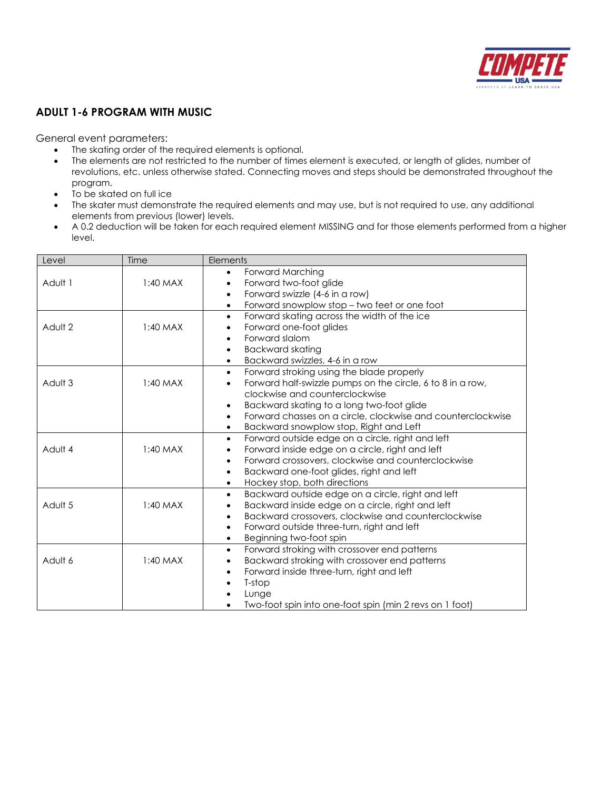

## **ADULT 1-6 PROGRAM WITH MUSIC**

- The skating order of the required elements is optional.
- The elements are not restricted to the number of times element is executed, or length of glides, number of revolutions, etc. unless otherwise stated. Connecting moves and steps should be demonstrated throughout the program.
- To be skated on full ice
- The skater must demonstrate the required elements and may use, but is not required to use, any additional elements from previous (lower) levels.
- A 0.2 deduction will be taken for each required element MISSING and for those elements performed from a higher level.

| Level   | Time       | Elements                                                                                                         |
|---------|------------|------------------------------------------------------------------------------------------------------------------|
|         |            | Forward Marching<br>$\bullet$                                                                                    |
| Adult 1 | $1:40$ MAX | Forward two-foot glide<br>$\bullet$                                                                              |
|         |            | Forward swizzle (4-6 in a row)<br>$\bullet$                                                                      |
|         |            | Forward snowplow stop - two feet or one foot<br>$\bullet$                                                        |
|         |            | Forward skating across the width of the ice<br>$\bullet$                                                         |
| Adult 2 | $1:40$ MAX | Forward one-foot glides<br>$\bullet$                                                                             |
|         |            | Forward slalom                                                                                                   |
|         |            | <b>Backward skating</b><br>$\bullet$                                                                             |
|         |            | Backward swizzles, 4-6 in a row<br>$\bullet$                                                                     |
|         |            | Forward stroking using the blade properly<br>$\bullet$                                                           |
| Adult 3 | $1:40$ MAX | Forward half-swizzle pumps on the circle, 6 to 8 in a row,<br>$\bullet$                                          |
|         |            | clockwise and counterclockwise                                                                                   |
|         |            | Backward skating to a long two-foot glide<br>$\bullet$                                                           |
|         |            | Forward chasses on a circle, clockwise and counterclockwise<br>$\bullet$                                         |
|         |            | Backward snowplow stop, Right and Left<br>$\bullet$                                                              |
| Adult 4 | $1:40$ MAX | Forward outside edge on a circle, right and left<br>$\bullet$<br>Forward inside edge on a circle, right and left |
|         |            | Forward crossovers, clockwise and counterclockwise<br>$\bullet$                                                  |
|         |            | Backward one-foot glides, right and left                                                                         |
|         |            | Hockey stop, both directions<br>$\bullet$                                                                        |
|         |            | Backward outside edge on a circle, right and left<br>$\bullet$                                                   |
| Adult 5 | $1:40$ MAX | Backward inside edge on a circle, right and left<br>$\bullet$                                                    |
|         |            | Backward crossovers, clockwise and counterclockwise<br>$\bullet$                                                 |
|         |            | Forward outside three-turn, right and left<br>$\bullet$                                                          |
|         |            | Beginning two-foot spin<br>$\bullet$                                                                             |
|         |            | Forward stroking with crossover end patterns<br>$\bullet$                                                        |
| Adult 6 | $1:40$ MAX | Backward stroking with crossover end patterns<br>$\bullet$                                                       |
|         |            | Forward inside three-turn, right and left<br>$\bullet$                                                           |
|         |            | T-stop                                                                                                           |
|         |            | Lunge                                                                                                            |
|         |            | Two-foot spin into one-foot spin (min 2 revs on 1 foot)                                                          |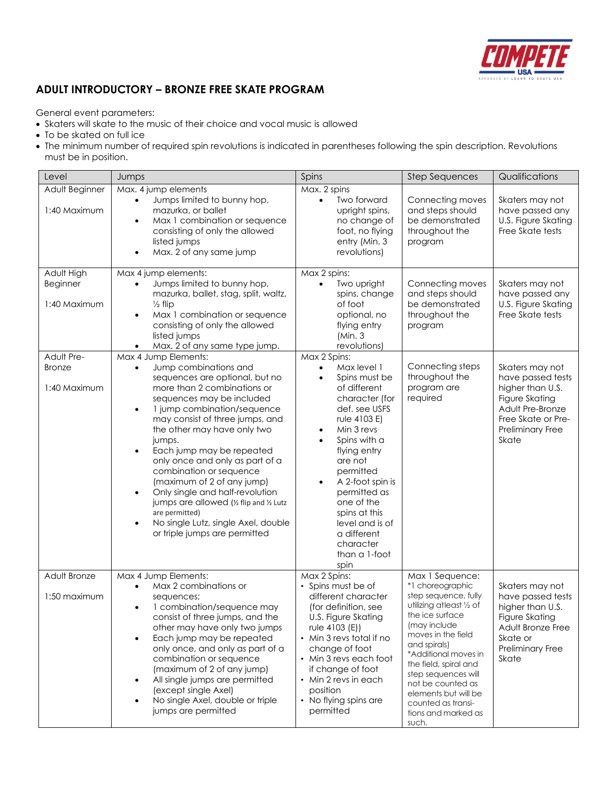

# **ADULT INTRODUCTORY – BRONZE FREE SKATE PROGRAM**

- Skaters will skate to the music of their choice and vocal music is allowed
- To be skated on full ice
- The minimum number of required spin revolutions is indicated in parentheses following the spin description. Revolutions must be in position.

| Level                                       | Jumps                                                                                                                                                                                                                                                                                                                                                                                                                                                                                                                                                                                                                     | Spins                                                                                                                                                                                                                                                                                                                                                      | <b>Step Sequences</b>                                                                                                                                                                                                                                                                                                                       | Qualifications                                                                                                                                    |
|---------------------------------------------|---------------------------------------------------------------------------------------------------------------------------------------------------------------------------------------------------------------------------------------------------------------------------------------------------------------------------------------------------------------------------------------------------------------------------------------------------------------------------------------------------------------------------------------------------------------------------------------------------------------------------|------------------------------------------------------------------------------------------------------------------------------------------------------------------------------------------------------------------------------------------------------------------------------------------------------------------------------------------------------------|---------------------------------------------------------------------------------------------------------------------------------------------------------------------------------------------------------------------------------------------------------------------------------------------------------------------------------------------|---------------------------------------------------------------------------------------------------------------------------------------------------|
| Adult Beginner<br>1:40 Maximum              | Max. 4 jump elements<br>Jumps limited to bunny hop,<br>mazurka, or ballet<br>Max 1 combination or sequence<br>$\bullet$<br>consisting of only the allowed<br>listed jumps<br>Max. 2 of any same jump<br>$\bullet$                                                                                                                                                                                                                                                                                                                                                                                                         | Max. 2 spins<br>Two forward<br>$\bullet$<br>upright spins,<br>no change of<br>foot, no flying<br>entry (Min. 3<br>revolutions)                                                                                                                                                                                                                             | Connecting moves<br>and steps should<br>be demonstrated<br>throughout the<br>program                                                                                                                                                                                                                                                        | Skaters may not<br>have passed any<br>U.S. Figure Skating<br>Free Skate tests                                                                     |
| Adult High<br>Beginner<br>1:40 Maximum      | Max 4 jump elements:<br>Jumps limited to bunny hop,<br>mazurka, ballet, stag, split, waltz,<br>$\frac{1}{2}$ flip<br>Max 1 combination or sequence<br>$\bullet$<br>consisting of only the allowed<br>listed jumps<br>Max. 2 of any same type jump.                                                                                                                                                                                                                                                                                                                                                                        | Max 2 spins:<br>Two upright<br>$\bullet$<br>spins, change<br>of foot<br>optional, no<br>flying entry<br>(Min. 3)<br>revolutions)                                                                                                                                                                                                                           | Connecting moves<br>and steps should<br>be demonstrated<br>throughout the<br>program                                                                                                                                                                                                                                                        | Skaters may not<br>have passed any<br>U.S. Figure Skating<br>Free Skate tests                                                                     |
| Adult Pre-<br><b>Bronze</b><br>1:40 Maximum | Max 4 Jump Elements:<br>Jump combinations and<br>$\bullet$<br>sequences are optional, but no<br>more than 2 combinations or<br>sequences may be included<br>1 jump combination/sequence<br>$\bullet$<br>may consist of three jumps, and<br>the other may have only two<br>jumps.<br>Each jump may be repeated<br>$\bullet$<br>only once and only as part of a<br>combination or sequence<br>(maximum of 2 of any jump)<br>Only single and half-revolution<br>$\bullet$<br>jumps are allowed (1/2 flip and 1/2 Lutz<br>are permitted)<br>No single Lutz, single Axel, double<br>$\bullet$<br>or triple jumps are permitted | Max 2 Spins:<br>Max level 1<br>$\bullet$<br>Spins must be<br>$\bullet$<br>of different<br>character (for<br>def. see USFS<br>rule 4103 E)<br>Min 3 revs<br>Spins with a<br>flying entry<br>are not<br>permitted<br>A 2-foot spin is<br>permitted as<br>one of the<br>spins at this<br>level and is of<br>a different<br>character<br>than a 1-foot<br>spin | Connecting steps<br>throughout the<br>program are<br>required                                                                                                                                                                                                                                                                               | Skaters may not<br>have passed tests<br>higher than U.S.<br>Figure Skating<br>Adult Pre-Bronze<br>Free Skate or Pre-<br>Preliminary Free<br>Skate |
| Adult Bronze<br>1:50 maximum                | Max 4 Jump Elements:<br>Max 2 combinations or<br>$\bullet$<br>sequences;<br>1 combination/sequence may<br>٠<br>consist of three jumps, and the<br>other may have only two jumps<br>Each jump may be repeated<br>$\bullet$<br>only once, and only as part of a<br>combination or sequence<br>(maximum of 2 of any jump)<br>All single jumps are permitted<br>$\bullet$<br>(except single Axel)<br>No single Axel, double or triple<br>$\bullet$<br>jumps are permitted                                                                                                                                                     | Max 2 Spins:<br>• Spins must be of<br>different character<br>(for definition, see<br>U.S. Figure Skating<br>rule 4103 (E))<br>• Min 3 revs total if no<br>change of foot<br>• Min 3 revs each foot<br>if change of foot<br>• Min 2 revs in each<br>position<br>• No flying spins are<br>permitted                                                          | Max 1 Sequence:<br>*1 choreographic<br>step sequence, fully<br>utilizing atleast 1/2 of<br>the ice surface<br>(may include<br>moves in the field<br>and spirals)<br>*Additional moves in<br>the field, spiral and<br>step sequences will<br>not be counted as<br>elements but will be<br>counted as transi-<br>tions and marked as<br>such. | Skaters may not<br>have passed tests<br>higher than U.S.<br>Figure Skating<br>Adult Bronze Free<br>Skate or<br>Preliminary Free<br>Skate          |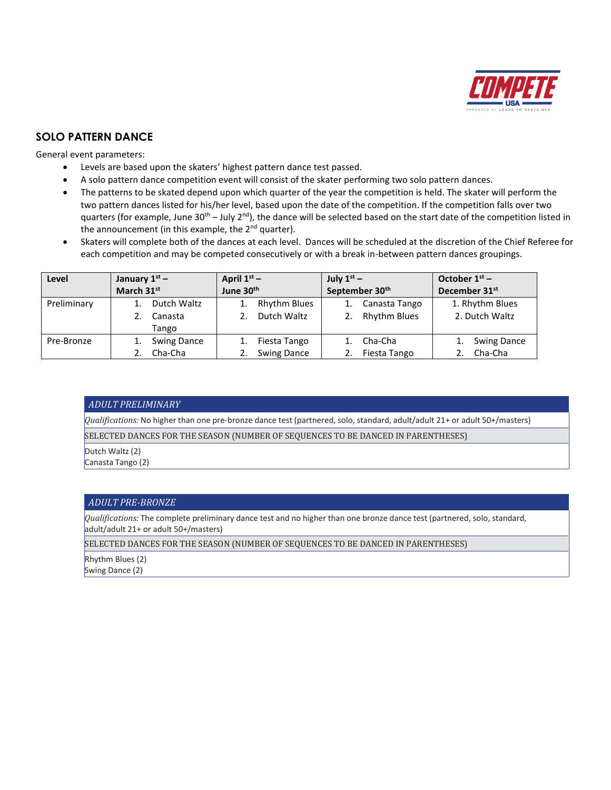

### **SOLO PATTERN DANCE**

General event parameters:

- Levels are based upon the skaters' highest pattern dance test passed.
- A solo pattern dance competition event will consist of the skater performing two solo pattern dances.
- The patterns to be skated depend upon which quarter of the year the competition is held. The skater will perform the two pattern dances listed for his/her level, based upon the date of the competition. If the competition falls over two quarters (for example, June 30<sup>th</sup> – July 2<sup>nd</sup>), the dance will be selected based on the start date of the competition listed in the announcement (in this example, the 2<sup>nd</sup> quarter).
- Skaters will complete both of the dances at each level. Dances will be scheduled at the discretion of the Chief Referee for each competition and may be competed consecutively or with a break in-between pattern dances groupings.

| Level       | January $1^{st}$ – | April $1st$ –       | July $1^{st}$ –            | October $1st$ –           |  |  |
|-------------|--------------------|---------------------|----------------------------|---------------------------|--|--|
|             | March 31st         | June 30th           | September 30 <sup>th</sup> | December 31 <sup>st</sup> |  |  |
| Preliminary | Dutch Waltz        | <b>Rhythm Blues</b> | Canasta Tango              | 1. Rhythm Blues           |  |  |
|             | Canasta            | Dutch Waltz         | <b>Rhythm Blues</b>        | 2. Dutch Waltz            |  |  |
|             | Tango              |                     |                            |                           |  |  |
| Pre-Bronze  | <b>Swing Dance</b> | Fiesta Tango        | Cha-Cha                    | <b>Swing Dance</b>        |  |  |
|             | Cha-Cha            | <b>Swing Dance</b>  | Fiesta Tango               | Cha-Cha                   |  |  |

#### *ADULT PRELIMINARY*

*Qualifications:* No higher than one pre-bronze dance test (partnered, solo, standard, adult/adult 21+ or adult 50+/masters)

SELECTED DANCES FOR THE SEASON (NUMBER OF SEQUENCES TO BE DANCED IN PARENTHESES)

Dutch Waltz (2)

Canasta Tango (2)

#### *ADULT PRE-BRONZE*

*Qualifications:* The complete preliminary dance test and no higher than one bronze dance test (partnered, solo, standard, adult/adult 21+ or adult 50+/masters)

SELECTED DANCES FOR THE SEASON (NUMBER OF SEQUENCES TO BE DANCED IN PARENTHESES)

Rhythm Blues (2)

Swing Dance (2)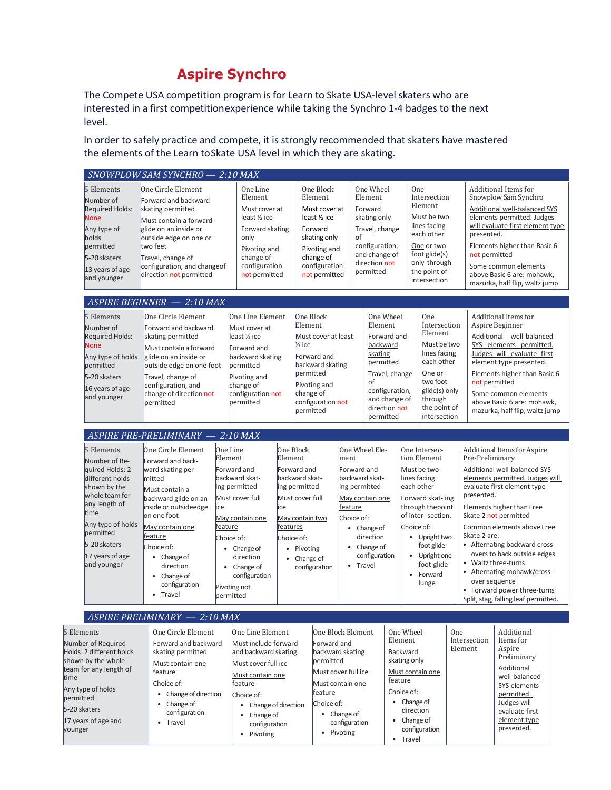# **Aspire Synchro**

The Compete USA competition program is for Learn to Skate USA-level skaters who are interested in a first competitionexperience while taking the Synchro 1-4 badges to the next level.

In order to safely practice and compete, it is strongly recommended that skaters have mastered the elements of the Learn toSkate USA level in which they are skating.

|                                                                                                                                                                                                                  | SNOWPLOW SAM SYNCHRO - 2:10 MAX                                                                                                                                                                                                                                                         |                                                                                                 |                                                                                                                                                                                                                        |                                                                                       |                                                                                                                                                                                 |                                            |                                                                                                                                                                           |                                                                                                                                                            |                                                                                                                                                                                                                                            |     |                                                                                       |                                                                                                                                                                                                                                                                                                                                                                                         |  |
|------------------------------------------------------------------------------------------------------------------------------------------------------------------------------------------------------------------|-----------------------------------------------------------------------------------------------------------------------------------------------------------------------------------------------------------------------------------------------------------------------------------------|-------------------------------------------------------------------------------------------------|------------------------------------------------------------------------------------------------------------------------------------------------------------------------------------------------------------------------|---------------------------------------------------------------------------------------|---------------------------------------------------------------------------------------------------------------------------------------------------------------------------------|--------------------------------------------|---------------------------------------------------------------------------------------------------------------------------------------------------------------------------|------------------------------------------------------------------------------------------------------------------------------------------------------------|--------------------------------------------------------------------------------------------------------------------------------------------------------------------------------------------------------------------------------------------|-----|---------------------------------------------------------------------------------------|-----------------------------------------------------------------------------------------------------------------------------------------------------------------------------------------------------------------------------------------------------------------------------------------------------------------------------------------------------------------------------------------|--|
| 5 Elements<br>Number of<br><b>Required Holds:</b><br><b>None</b><br>Any type of<br>holds<br>permitted<br>5-20 skaters<br>13 years of age<br>and younger                                                          | One Circle Element<br>Forward and backward<br>skating permitted<br>Must contain a forward<br>glide on an inside or<br>outside edge on one or<br>two feet<br>Travel, change of<br>configuration, and changeof<br>direction not permitted                                                 |                                                                                                 | One Line<br>Element<br>Must cover at<br>least 1/2 ice<br>Forward skating<br>only<br>Pivoting and<br>change of<br>configuration<br>not permitted                                                                        |                                                                                       | One Block<br>Element<br>Must cover at<br>least % ice<br>Forward<br>skating only<br>Pivoting and<br>change of<br>configuration<br>not permitted                                  |                                            | One Wheel<br>Element<br>Forward<br>skating only<br>of<br>configuration,<br>and change of<br>direction not<br>permitted                                                    | Travel, change                                                                                                                                             | <b>One</b><br>Intersection<br>Element<br>Must be two<br>lines facing<br>each other<br>One or two<br>foot glide(s)<br>only through<br>the point of<br>intersection                                                                          |     | presented.<br>not permitted                                                           | Additional Items for<br>Snowplow Sam Synchro<br>Additional well-balanced SYS<br>elements permitted. Judges<br>will evaluate first element type<br>Elements higher than Basic 6<br>Some common elements<br>above Basic 6 are: mohawk,<br>mazurka, half flip, waltz jump                                                                                                                  |  |
|                                                                                                                                                                                                                  | ASPIRE BEGINNER - 2:10 MAX                                                                                                                                                                                                                                                              |                                                                                                 |                                                                                                                                                                                                                        |                                                                                       |                                                                                                                                                                                 |                                            |                                                                                                                                                                           |                                                                                                                                                            |                                                                                                                                                                                                                                            |     |                                                                                       |                                                                                                                                                                                                                                                                                                                                                                                         |  |
| 5 Elements<br>Number of<br><b>Required Holds:</b><br><b>None</b><br>Any type of holds<br>permitted<br>5-20 skaters<br>16 years of age<br>and younger                                                             | One Circle Element<br>Forward and backward<br>skating permitted<br>Must contain a forward<br>glide on an inside or<br>outside edge on one foot<br>Travel, change of<br>configuration, and<br>change of direction not<br>permitted                                                       |                                                                                                 | One Line Element<br>Must cover at<br>least 1/2 ice<br>Forward and<br>backward skating<br>permitted<br>Pivoting and<br>change of<br>configuration not<br>permitted                                                      |                                                                                       | One Block<br>Element<br>Must cover at least<br>$\frac{1}{2}$ ice<br>Forward and<br>backward skating<br>permitted<br>Pivoting and<br>change of<br>configuration not<br>permitted |                                            | of                                                                                                                                                                        | One Wheel<br>Element<br>Forward and<br>backward<br>skating<br>permitted<br>Travel, change<br>configuration,<br>and change of<br>direction not<br>permitted | One.<br>Intersection<br>Element<br>Must be two<br>lines facing<br>each other<br>One or<br>two foot<br>glide(s) only<br>through<br>the point of<br>intersection                                                                             |     | not permitted                                                                         | Additional Items for<br>Aspire Beginner<br>Additional well-balanced<br>SYS elements permitted.<br>Judges will evaluate first<br>element type presented.<br>Elements higher than Basic 6<br>Some common elements<br>above Basic 6 are: mohawk,<br>mazurka, half flip, waltz jump                                                                                                         |  |
|                                                                                                                                                                                                                  | ASPIRE PRE-PRELIMINARY - 2:10 MAX                                                                                                                                                                                                                                                       |                                                                                                 |                                                                                                                                                                                                                        |                                                                                       |                                                                                                                                                                                 |                                            |                                                                                                                                                                           |                                                                                                                                                            |                                                                                                                                                                                                                                            |     |                                                                                       |                                                                                                                                                                                                                                                                                                                                                                                         |  |
| 5 Elements<br>Number of Re-<br>quired Holds: 2<br>different holds<br>shown by the<br>whole team for<br>any length of<br>time<br>Any type of holds<br>permitted<br>5-20 skaters<br>17 years of age<br>and younger | One Circle Element<br>Forward and back-<br>ward skating per-<br>mitted<br>Must contain a<br>backward glide on an<br>inside or outsideedge<br>on one foot<br>May contain one<br>feature<br>Choice of:<br>• Change of<br>direction<br>• Change of<br>configuration<br>Travel<br>$\bullet$ | One Line<br>Element<br>Forward and<br>ice<br>feature<br>Choice of:<br>Pivoting not<br>permitted | backward skat-<br>ing permitted<br>Must cover full<br>May contain one<br>• Change of<br>direction<br>• Change of<br>configuration                                                                                      | One Block<br>Element<br>Forward and<br>ing permitted<br>ice<br>features<br>Choice of: | backward skat-<br>Must cover full<br>May contain two<br>• Pivoting<br>• Change of<br>configuration                                                                              | ment<br>feature                            | One Wheel Ele-<br>Forward and<br>backward skat-<br>ing permitted<br>May contain one<br>Choice of:<br>• Change of<br>direction<br>• Change of<br>configuration<br>• Travel |                                                                                                                                                            | One Intersec-<br>tion Element<br>Must be two<br>lines facing<br>each other<br>Forward skat- ing<br>through thepoint<br>of inter-section.<br>Choice of:<br>• Upright two<br>foot glide<br>• Upright one<br>foot glide<br>• Forward<br>lunge |     | Pre-Preliminary<br>presented.<br>Skate 2 are:<br>• Waltz three-turns<br>over sequence | Additional Items for Aspire<br>Additional well-balanced SYS<br>elements permitted. Judges will<br>evaluate first element type<br>Elements higher than Free<br>Skate 2 not permitted<br>Common elements above Free<br>• Alternating backward cross-<br>overs to back outside edges<br>• Alternating mohawk/cross-<br>• Forward power three-turns<br>Split, stag, falling leaf permitted. |  |
|                                                                                                                                                                                                                  | ASPIRE PRELIMINARY - 2:10 MAX                                                                                                                                                                                                                                                           |                                                                                                 |                                                                                                                                                                                                                        |                                                                                       |                                                                                                                                                                                 |                                            |                                                                                                                                                                           |                                                                                                                                                            |                                                                                                                                                                                                                                            |     |                                                                                       |                                                                                                                                                                                                                                                                                                                                                                                         |  |
| 5 Elements<br>Number of Required<br>Holds: 2 different holds<br>shown by the whole<br>team for any length of<br>Any type of holds<br>permitted<br>5-20 skaters<br>17 years of age and<br>younger                 | One Circle Element<br>Forward and backward<br>skating permitted<br>Must contain one<br>feature<br>Choice of:<br>• Change of direction<br>Change of<br>configuration<br>• Travel                                                                                                         |                                                                                                 | One Line Element<br>Must include forward<br>and backward skating<br>Must cover full ice<br>Must contain one<br>feature<br>Choice of:<br>• Change of direction<br>Change of<br>$\bullet$<br>configuration<br>• Pivoting |                                                                                       | One Block Element<br>Forward and<br>backward skating<br>permitted<br>Must cover full ice<br>Must contain one<br>feature<br>Choice of:                                           | • Change of<br>configuration<br>• Pivoting |                                                                                                                                                                           | Element<br>Backward<br>feature<br>Choice of:                                                                                                               | One Wheel<br>skating only<br>Must contain one<br>• Change of<br>direction<br>Change of<br>configuration<br>• Travel                                                                                                                        | One | Intersection<br>Element                                                               | Additional<br>Items for<br>Aspire<br>Preliminary<br>Additional<br>well-balanced<br>SYS elements<br>permitted.<br>Judges will<br>evaluate first<br>element type<br>presented.                                                                                                                                                                                                            |  |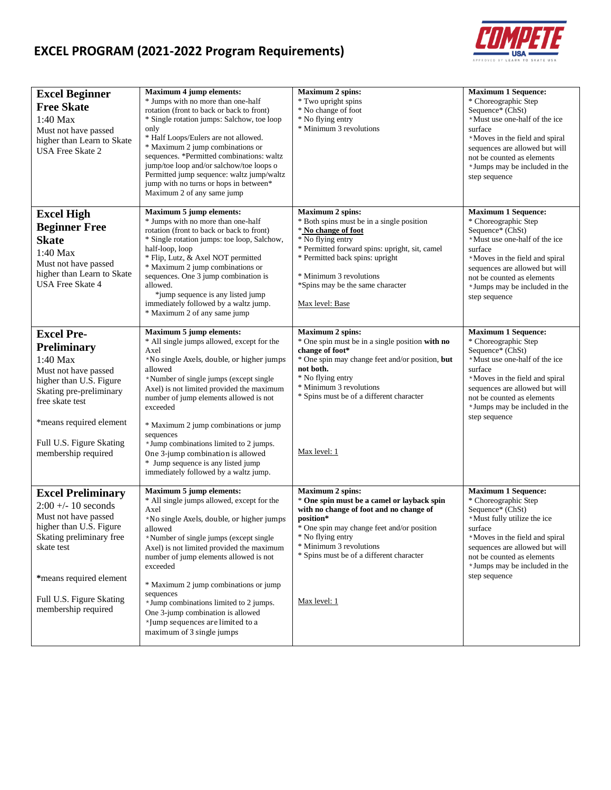# **EXCEL PROGRAM (2021-2022 Program Requirements)**



| <b>Excel Beginner</b><br><b>Free Skate</b><br>1:40 Max<br>Must not have passed<br>higher than Learn to Skate<br><b>USA Free Skate 2</b>                                                                                            | <b>Maximum 4 jump elements:</b><br>* Jumps with no more than one-half<br>rotation (front to back or back to front)<br>* Single rotation jumps: Salchow, toe loop<br>only<br>* Half Loops/Eulers are not allowed.<br>* Maximum 2 jump combinations or<br>sequences. *Permitted combinations: waltz<br>jump/toe loop and/or salchow/toe loops o<br>Permitted jump sequence: waltz jump/waltz<br>jump with no turns or hops in between*<br>Maximum 2 of any same jump                                                                        | Maximum 2 spins:<br>* Two upright spins<br>* No change of foot<br>* No flying entry<br>* Minimum 3 revolutions                                                                                                                                                                          | <b>Maximum 1 Sequence:</b><br>* Choreographic Step<br>Sequence* (ChSt)<br>*Must use one-half of the ice<br>surface<br>*Moves in the field and spiral<br>sequences are allowed but will<br>not be counted as elements<br>*Jumps may be included in the<br>step sequence |
|------------------------------------------------------------------------------------------------------------------------------------------------------------------------------------------------------------------------------------|-------------------------------------------------------------------------------------------------------------------------------------------------------------------------------------------------------------------------------------------------------------------------------------------------------------------------------------------------------------------------------------------------------------------------------------------------------------------------------------------------------------------------------------------|-----------------------------------------------------------------------------------------------------------------------------------------------------------------------------------------------------------------------------------------------------------------------------------------|------------------------------------------------------------------------------------------------------------------------------------------------------------------------------------------------------------------------------------------------------------------------|
| <b>Excel High</b><br><b>Beginner Free</b><br><b>Skate</b><br>1:40 Max<br>Must not have passed<br>higher than Learn to Skate<br><b>USA Free Skate 4</b>                                                                             | <b>Maximum 5 jump elements:</b><br>* Jumps with no more than one-half<br>rotation (front to back or back to front)<br>* Single rotation jumps: toe loop, Salchow,<br>half-loop, loop<br>* Flip, Lutz, & Axel NOT permitted<br>* Maximum 2 jump combinations or<br>sequences. One 3 jump combination is<br>allowed.<br>*jump sequence is any listed jump<br>immediately followed by a waltz jump.<br>* Maximum 2 of any same jump                                                                                                          | <b>Maximum 2 spins:</b><br>* Both spins must be in a single position<br>* No change of foot<br>* No flying entry<br>* Permitted forward spins: upright, sit, camel<br>* Permitted back spins: upright<br>* Minimum 3 revolutions<br>*Spins may be the same character<br>Max level: Base | <b>Maximum 1 Sequence:</b><br>* Choreographic Step<br>Sequence* (ChSt)<br>*Must use one-half of the ice<br>surface<br>*Moves in the field and spiral<br>sequences are allowed but will<br>not be counted as elements<br>*Jumps may be included in the<br>step sequence |
| <b>Excel Pre-</b><br><b>Preliminary</b><br>1:40 Max<br>Must not have passed<br>higher than U.S. Figure<br>Skating pre-preliminary<br>free skate test<br>*means required element<br>Full U.S. Figure Skating<br>membership required | Maximum 5 jump elements:<br>* All single jumps allowed, except for the<br>Axel<br>*No single Axels, double, or higher jumps<br>allowed<br>*Number of single jumps (except single<br>Axel) is not limited provided the maximum<br>number of jump elements allowed is not<br>exceeded<br>* Maximum 2 jump combinations or jump<br>sequences<br>*Jump combinations limited to 2 jumps.<br>One 3-jump combination is allowed<br>* Jump sequence is any listed jump                                                                            | <b>Maximum 2 spins:</b><br>* One spin must be in a single position with no<br>change of foot*<br>* One spin may change feet and/or position, but<br>not both.<br>* No flying entry<br>* Minimum 3 revolutions<br>* Spins must be of a different character<br>Max level: 1               | <b>Maximum 1 Sequence:</b><br>* Choreographic Step<br>Sequence* (ChSt)<br>*Must use one-half of the ice<br>surface<br>*Moves in the field and spiral<br>sequences are allowed but will<br>not be counted as elements<br>*Jumps may be included in the<br>step sequence |
| <b>Excel Preliminary</b><br>$2:00 + -10$ seconds<br>Must not have passed<br>higher than U.S. Figure<br>Skating preliminary free<br>skate test<br>*means required element<br>Full U.S. Figure Skating<br>membership required        | immediately followed by a waltz jump.<br><b>Maximum 5 jump elements:</b><br>* All single jumps allowed, except for the<br>Axel<br>*No single Axels, double, or higher jumps<br>allowed<br>*Number of single jumps (except single<br>Axel) is not limited provided the maximum<br>number of jump elements allowed is not<br>exceeded<br>* Maximum 2 jump combinations or jump<br>sequences<br>*Jump combinations limited to 2 jumps.<br>One 3-jump combination is allowed<br>*Jump sequences are limited to a<br>maximum of 3 single jumps | <b>Maximum 2 spins:</b><br>* One spin must be a camel or layback spin<br>with no change of foot and no change of<br>position*<br>* One spin may change feet and/or position<br>* No flying entry<br>* Minimum 3 revolutions<br>* Spins must be of a different character<br>Max level: 1 | <b>Maximum 1 Sequence:</b><br>* Choreographic Step<br>Sequence* (ChSt)<br>*Must fully utilize the ice<br>surface<br>*Moves in the field and spiral<br>sequences are allowed but will<br>not be counted as elements<br>*Jumps may be included in the<br>step sequence   |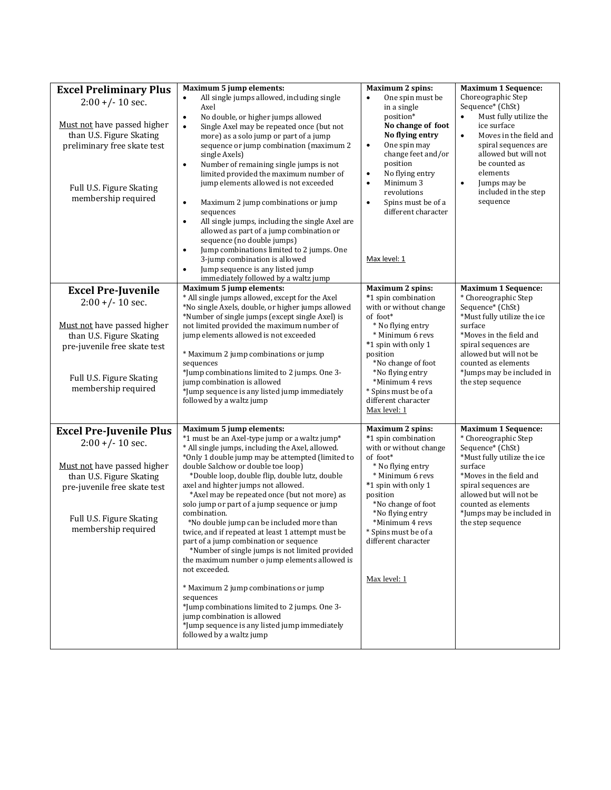| <b>Excel Preliminary Plus</b>                                                                                                                                    | Maximum 5 jump elements:                                                                                                                                                                                                                                                                                                                                                                                                                                                                                                                                                                                                                                                                                                                                                                                                                                                                 | <b>Maximum 2 spins:</b>                                                                                                                                                                                                                                                                                | <b>Maximum 1 Sequence:</b>                                                                                                                                                                                                                                           |
|------------------------------------------------------------------------------------------------------------------------------------------------------------------|------------------------------------------------------------------------------------------------------------------------------------------------------------------------------------------------------------------------------------------------------------------------------------------------------------------------------------------------------------------------------------------------------------------------------------------------------------------------------------------------------------------------------------------------------------------------------------------------------------------------------------------------------------------------------------------------------------------------------------------------------------------------------------------------------------------------------------------------------------------------------------------|--------------------------------------------------------------------------------------------------------------------------------------------------------------------------------------------------------------------------------------------------------------------------------------------------------|----------------------------------------------------------------------------------------------------------------------------------------------------------------------------------------------------------------------------------------------------------------------|
| $2:00 + (-10 sec.$<br>Must not have passed higher<br>than U.S. Figure Skating<br>preliminary free skate test<br>Full U.S. Figure Skating<br>membership required  | All single jumps allowed, including single<br>Axel<br>No double, or higher jumps allowed<br>$\bullet$<br>$\bullet$<br>Single Axel may be repeated once (but not<br>more) as a solo jump or part of a jump<br>sequence or jump combination (maximum 2<br>single Axels)<br>Number of remaining single jumps is not<br>$\bullet$<br>limited provided the maximum number of<br>jump elements allowed is not exceeded<br>Maximum 2 jump combinations or jump<br>$\bullet$<br>sequences<br>All single jumps, including the single Axel are<br>$\bullet$<br>allowed as part of a jump combination or<br>sequence (no double jumps)<br>Jump combinations limited to 2 jumps. One<br>$\bullet$<br>3-jump combination is allowed<br>Jump sequence is any listed jump<br>$\bullet$<br>immediately followed by a waltz jump                                                                          | One spin must be<br>in a single<br>position*<br>No change of foot<br>No flying entry<br>One spin may<br>$\bullet$<br>change feet and/or<br>position<br>No flying entry<br>$\bullet$<br>Minimum 3<br>$\bullet$<br>revolutions<br>Spins must be of a<br>$\bullet$<br>different character<br>Max level: 1 | Choreographic Step<br>Sequence* (ChSt)<br>Must fully utilize the<br>ice surface<br>Moves in the field and<br>$\bullet$<br>spiral sequences are<br>allowed but will not<br>be counted as<br>elements<br>Jumps may be<br>$\bullet$<br>included in the step<br>sequence |
| <b>Excel Pre-Juvenile</b>                                                                                                                                        | <b>Maximum 5 jump elements:</b>                                                                                                                                                                                                                                                                                                                                                                                                                                                                                                                                                                                                                                                                                                                                                                                                                                                          | <b>Maximum 2 spins:</b>                                                                                                                                                                                                                                                                                | <b>Maximum 1 Sequence:</b>                                                                                                                                                                                                                                           |
| $2:00 + (-10 sec.$<br>Must not have passed higher<br>than U.S. Figure Skating<br>pre-juvenile free skate test<br>Full U.S. Figure Skating<br>membership required | * All single jumps allowed, except for the Axel<br>*No single Axels, double, or higher jumps allowed<br>*Number of single jumps (except single Axel) is<br>not limited provided the maximum number of<br>jump elements allowed is not exceeded<br>* Maximum 2 jump combinations or jump<br>sequences<br>*Jump combinations limited to 2 jumps. One 3-<br>jump combination is allowed<br>*Jump sequence is any listed jump immediately<br>followed by a waltz jump                                                                                                                                                                                                                                                                                                                                                                                                                        | *1 spin combination<br>with or without change<br>of foot*<br>* No flying entry<br>* Minimum 6 revs<br>*1 spin with only 1<br>position<br>*No change of foot<br>*No flying entry<br>*Minimum 4 revs<br>* Spins must be of a<br>different character<br>Max level: 1                                      | * Choreographic Step<br>Sequence* (ChSt)<br>*Must fully utilize the ice<br>surface<br>*Moves in the field and<br>spiral sequences are<br>allowed but will not be<br>counted as elements<br>*Jumps may be included in<br>the step sequence                            |
| <b>Excel Pre-Juvenile Plus</b>                                                                                                                                   | Maximum 5 jump elements:                                                                                                                                                                                                                                                                                                                                                                                                                                                                                                                                                                                                                                                                                                                                                                                                                                                                 | <b>Maximum 2 spins:</b>                                                                                                                                                                                                                                                                                | <b>Maximum 1 Sequence:</b>                                                                                                                                                                                                                                           |
| $2:00 + (-10 sec.$<br>Must not have passed higher<br>than U.S. Figure Skating<br>pre-juvenile free skate test<br>Full U.S. Figure Skating<br>membership required | *1 must be an Axel-type jump or a waltz jump*<br>* All single jumps, including the Axel, allowed.<br>*Only 1 double jump may be attempted (limited to<br>double Salchow or double toe loop)<br>*Double loop, double flip, double lutz, double<br>axel and highter jumps not allowed.<br>*Axel may be repeated once (but not more) as<br>solo jump or part of a jump sequence or jump<br>combination.<br>*No double jump can be included more than<br>twice, and if repeated at least 1 attempt must be<br>part of a jump combination or sequence<br>*Number of single jumps is not limited provided<br>the maximum number o jump elements allowed is<br>not exceeded.<br>* Maximum 2 jump combinations or jump<br>sequences<br>*Jump combinations limited to 2 jumps. One 3-<br>jump combination is allowed<br>*Jump sequence is any listed jump immediately<br>followed by a waltz jump | *1 spin combination<br>with or without change<br>of foot*<br>* No flying entry<br>* Minimum 6 revs<br>*1 spin with only 1<br>position<br>*No change of foot<br>*No flying entry<br>*Minimum 4 revs<br>* Spins must be of a<br>different character<br>Max level: 1                                      | * Choreographic Step<br>Sequence* (ChSt)<br>*Must fully utilize the ice<br>surface<br>*Moves in the field and<br>spiral sequences are<br>allowed but will not be<br>counted as elements<br>*Jumps may be included in<br>the step sequence                            |